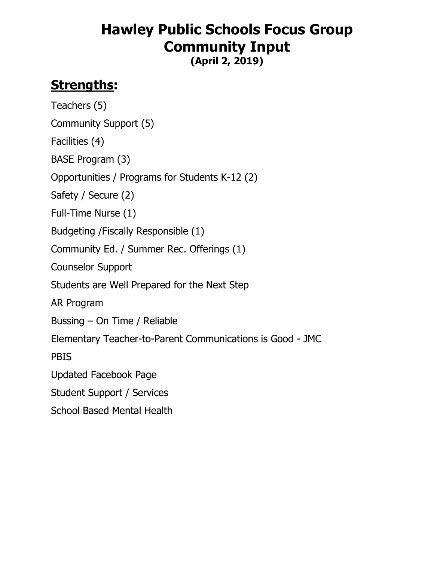# **Hawley Public Schools Focus Group Community Input**

**(April 2, 2019)**

# **Strengths:**

Teachers (5) Community Support (5) Facilities (4) BASE Program (3) Opportunities / Programs for Students K-12 (2) Safety / Secure (2) Full-Time Nurse (1) Budgeting /Fiscally Responsible (1) Community Ed. / Summer Rec. Offerings (1) Counselor Support Students are Well Prepared for the Next Step AR Program Bussing – On Time / Reliable Elementary Teacher-to-Parent Communications is Good - JMC **PBIS** Updated Facebook Page Student Support / Services School Based Mental Health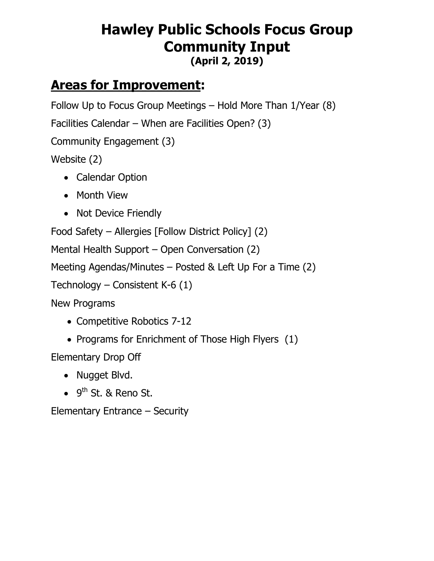#### **Hawley Public Schools Focus Group Community Input (April 2, 2019)**

## **Areas for Improvement:**

Follow Up to Focus Group Meetings – Hold More Than 1/Year (8)

Facilities Calendar – When are Facilities Open? (3)

Community Engagement (3)

Website (2)

- Calendar Option
- Month View
- Not Device Friendly

Food Safety – Allergies [Follow District Policy] (2)

Mental Health Support – Open Conversation (2)

Meeting Agendas/Minutes – Posted & Left Up For a Time (2)

Technology – Consistent K-6  $(1)$ 

New Programs

- Competitive Robotics 7-12
- Programs for Enrichment of Those High Flyers (1)

Elementary Drop Off

- Nugget Blvd.
- $\bullet$  9<sup>th</sup> St. & Reno St.

Elementary Entrance – Security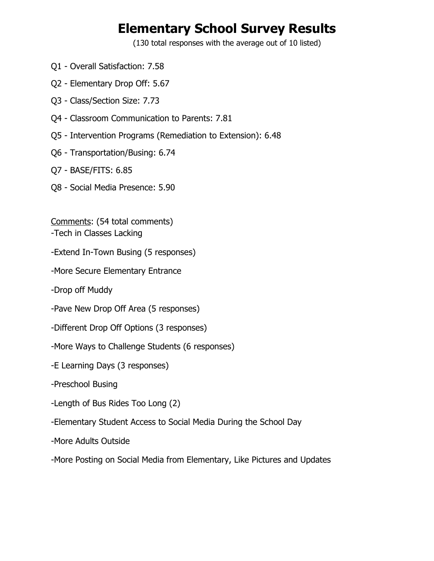### **Elementary School Survey Results**

(130 total responses with the average out of 10 listed)

- Q1 Overall Satisfaction: 7.58
- Q2 Elementary Drop Off: 5.67
- Q3 Class/Section Size: 7.73
- Q4 Classroom Communication to Parents: 7.81
- Q5 Intervention Programs (Remediation to Extension): 6.48
- Q6 Transportation/Busing: 6.74
- Q7 BASE/FITS: 6.85
- Q8 Social Media Presence: 5.90

Comments: (54 total comments)

- -Tech in Classes Lacking
- -Extend In-Town Busing (5 responses)
- -More Secure Elementary Entrance
- -Drop off Muddy
- -Pave New Drop Off Area (5 responses)
- -Different Drop Off Options (3 responses)
- -More Ways to Challenge Students (6 responses)
- -E Learning Days (3 responses)
- -Preschool Busing
- -Length of Bus Rides Too Long (2)
- -Elementary Student Access to Social Media During the School Day
- -More Adults Outside
- -More Posting on Social Media from Elementary, Like Pictures and Updates